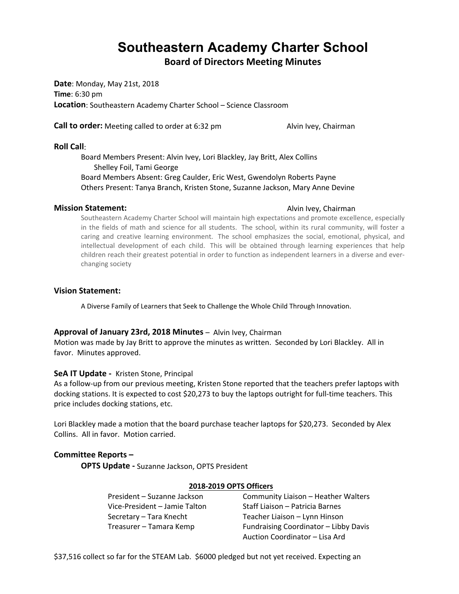# **Southeastern Academy Charter School**

**Board of Directors Meeting Minutes**

**Date**: Monday, May 21st, 2018 **Time**: 6:30 pm **Location**: Southeastern Academy Charter School – Science Classroom

**Call to order:** Meeting called to order at 6:32 pm Alvin Ivey, Chairman

#### **Roll Call**:

Board Members Present: Alvin Ivey, Lori Blackley, Jay Britt, Alex Collins Shelley Foil, Tami George Board Members Absent: Greg Caulder, Eric West, Gwendolyn Roberts Payne Others Present: Tanya Branch, Kristen Stone, Suzanne Jackson, Mary Anne Devine

#### **Mission Statement:** Alvin Ivey, Chairman **Mission Statement:** Alvin Ivey, Chairman

Southeastern Academy Charter School will maintain high expectations and promote excellence, especially in the fields of math and science for all students. The school, within its rural community, will foster a caring and creative learning environment. The school emphasizes the social, emotional, physical, and intellectual development of each child. This will be obtained through learning experiences that help children reach their greatest potential in order to function as independent learners in a diverse and everchanging society

#### **Vision Statement:**

A Diverse Family of Learners that Seek to Challenge the Whole Child Through Innovation.

#### **Approval of January 23rd, 2018 Minutes** – Alvin Ivey, Chairman

Motion was made by Jay Britt to approve the minutes as written. Seconded by Lori Blackley. All in favor. Minutes approved.

#### **SeA IT Update -** Kristen Stone, Principal

As a follow-up from our previous meeting, Kristen Stone reported that the teachers prefer laptops with docking stations. It is expected to cost \$20,273 to buy the laptops outright for full-time teachers. This price includes docking stations, etc.

Lori Blackley made a motion that the board purchase teacher laptops for \$20,273. Seconded by Alex Collins. All in favor. Motion carried.

### **Committee Reports –**

**OPTS Update -** Suzanne Jackson, OPTS President

#### **2018-2019 OPTS Officers**

President – Suzanne Jackson Community Liaison – Heather Walters Vice-President – Jamie Talton Staff Liaison – Patricia Barnes Secretary – Tara Knecht Teacher Liaison – Lynn Hinson Treasurer – Tamara Kemp Fundraising Coordinator – Libby Davis Auction Coordinator – Lisa Ard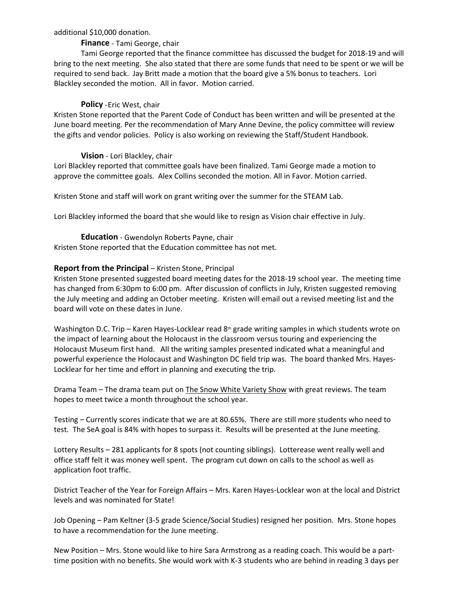#### additional \$10,000 donation.

#### **Finance** - Tami George, chair

Tami George reported that the finance committee has discussed the budget for 2018-19 and will bring to the next meeting. She also stated that there are some funds that need to be spent or we will be required to send back. Jay Britt made a motion that the board give a 5% bonus to teachers. Lori Blackley seconded the motion. All in favor. Motion carried.

#### **Policy** -Eric West, chair

Kristen Stone reported that the Parent Code of Conduct has been written and will be presented at the June board meeting. Per the recommendation of Mary Anne Devine, the policy committee will review the gifts and vendor policies. Policy is also working on reviewing the Staff/Student Handbook.

#### **Vision** - Lori Blackley, chair

Lori Blackley reported that committee goals have been finalized. Tami George made a motion to approve the committee goals. Alex Collins seconded the motion. All in Favor. Motion carried.

Kristen Stone and staff will work on grant writing over the summer for the STEAM Lab.

Lori Blackley informed the board that she would like to resign as Vision chair effective in July.

**Education** - Gwendolyn Roberts Payne, chair

Kristen Stone reported that the Education committee has not met.

#### **Report from the Principal – Kristen Stone, Principal**

Kristen Stone presented suggested board meeting dates for the 2018-19 school year. The meeting time has changed from 6:30pm to 6:00 pm. After discussion of conflicts in July, Kristen suggested removing the July meeting and adding an October meeting. Kristen will email out a revised meeting list and the board will vote on these dates in June.

Washington D.C. Trip – Karen Hayes-Locklear read 8<sup>th</sup> grade writing samples in which students wrote on the impact of learning about the Holocaust in the classroom versus touring and experiencing the Holocaust Museum first hand. All the writing samples presented indicated what a meaningful and powerful experience the Holocaust and Washington DC field trip was. The board thanked Mrs. Hayes-Locklear for her time and effort in planning and executing the trip.

Drama Team – The drama team put on The Snow White Variety Show with great reviews. The team hopes to meet twice a month throughout the school year.

Testing – Currently scores indicate that we are at 80.65%. There are still more students who need to test. The SeA goal is 84% with hopes to surpass it. Results will be presented at the June meeting.

Lottery Results – 281 applicants for 8 spots (not counting siblings). Lotterease went really well and office staff felt it was money well spent. The program cut down on calls to the school as well as application foot traffic.

District Teacher of the Year for Foreign Affairs – Mrs. Karen Hayes-Locklear won at the local and District levels and was nominated for State!

Job Opening – Pam Keltner (3-5 grade Science/Social Studies) resigned her position. Mrs. Stone hopes to have a recommendation for the June meeting.

New Position – Mrs. Stone would like to hire Sara Armstrong as a reading coach. This would be a parttime position with no benefits. She would work with K-3 students who are behind in reading 3 days per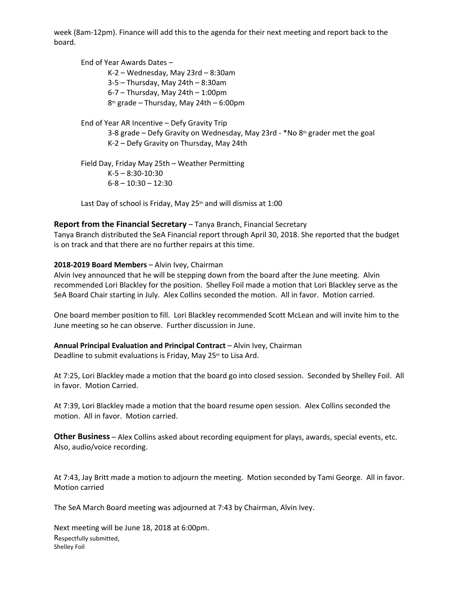week (8am-12pm). Finance will add this to the agenda for their next meeting and report back to the board.

End of Year Awards Dates – K-2 – Wednesday, May 23rd – 8:30am 3-5 – Thursday, May 24th – 8:30am 6-7 – Thursday, May 24th – 1:00pm 8th grade – Thursday, May 24th – 6:00pm

End of Year AR Incentive – Defy Gravity Trip 3-8 grade – Defy Gravity on Wednesday, May 23rd -  $*$ No 8th grader met the goal K-2 – Defy Gravity on Thursday, May 24th

Field Day, Friday May 25th – Weather Permitting K-5 – 8:30-10:30  $6 - 8 - 10:30 - 12:30$ 

Last Day of school is Friday, May  $25<sup>th</sup>$  and will dismiss at 1:00

### **Report from the Financial Secretary** – Tanya Branch, Financial Secretary

Tanya Branch distributed the SeA Financial report through April 30, 2018. She reported that the budget is on track and that there are no further repairs at this time.

#### **2018-2019 Board Members** – Alvin Ivey, Chairman

Alvin Ivey announced that he will be stepping down from the board after the June meeting. Alvin recommended Lori Blackley for the position. Shelley Foil made a motion that Lori Blackley serve as the SeA Board Chair starting in July. Alex Collins seconded the motion. All in favor. Motion carried.

One board member position to fill. Lori Blackley recommended Scott McLean and will invite him to the June meeting so he can observe. Further discussion in June.

**Annual Principal Evaluation and Principal Contract** – Alvin Ivey, Chairman Deadline to submit evaluations is Friday, May  $25<sup>th</sup>$  to Lisa Ard.

At 7:25, Lori Blackley made a motion that the board go into closed session. Seconded by Shelley Foil. All in favor. Motion Carried.

At 7:39, Lori Blackley made a motion that the board resume open session. Alex Collins seconded the motion. All in favor. Motion carried.

**Other Business** – Alex Collins asked about recording equipment for plays, awards, special events, etc. Also, audio/voice recording.

At 7:43, Jay Britt made a motion to adjourn the meeting. Motion seconded by Tami George. All in favor. Motion carried

The SeA March Board meeting was adjourned at 7:43 by Chairman, Alvin Ivey.

Next meeting will be June 18, 2018 at 6:00pm. Respectfully submitted, Shelley Foil